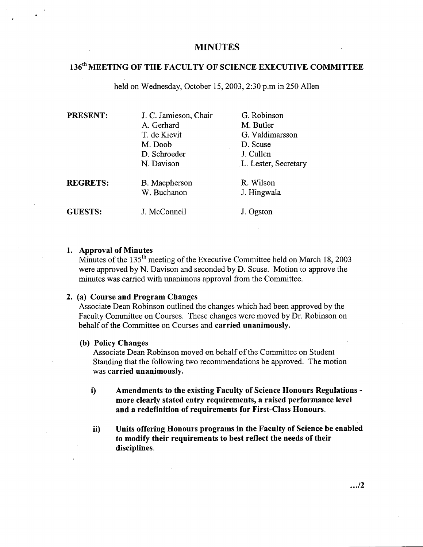# **MINUTES**

# **<sup>136</sup>**" **MEETING OF THE FACULTY OF SCIENCE EXECUTIVE COMMITTEE**

held on Wednesday, October *15,* 2003, 2:30 p.m in *250* Allen

| <b>PRESENT:</b> | J. C. Jamieson, Chair<br>A. Gerhard<br>T. de Kievit<br>M. Doob<br>D. Schroeder<br>N. Davison | G. Robinson<br>M. Butler<br>G. Valdimarsson<br>D. Scuse<br>J. Cullen<br>L. Lester, Secretary |
|-----------------|----------------------------------------------------------------------------------------------|----------------------------------------------------------------------------------------------|
| <b>REGRETS:</b> | B. Macpherson<br>W. Buchanon                                                                 | R. Wilson<br>J. Hingwala                                                                     |
| <b>GUESTS:</b>  | J. McConnell                                                                                 | J. Ogston                                                                                    |

## **Approval of Minutes**

Minutes of the 135<sup>th</sup> meeting of the Executive Committee held on March 18, 2003 were approved by N. Davison and seconded by D. Scuse. Motion to approve the minutes was carried with unanimous approval from the Committee.

#### **(a) Course and Program Changes**

Associate Dean Robinson outlined the changes which had been approved by the Faculty Committee on Courses. These changes were moved by Dr. Robinson on behalf of the Committee on Courses and **carried unanimously.** 

## **(b) Policy Changes**

Associate Dean Robinson moved on behalf of the Committee on Student Standing that the following two recommendations be approved. The motion was **carried unanimously.** 

- **Amendments to the existing Faculty of Science Honours Regulations**  i) **more clearly stated entry requirements, a raised performance level and a redefinition of requirements for First-Class Honours.**
- **Units offering Honours programs in the Faculty of Science be enabled**  ii) **to modify their requirements to best reflect the needs of their disciplines.**

*.12*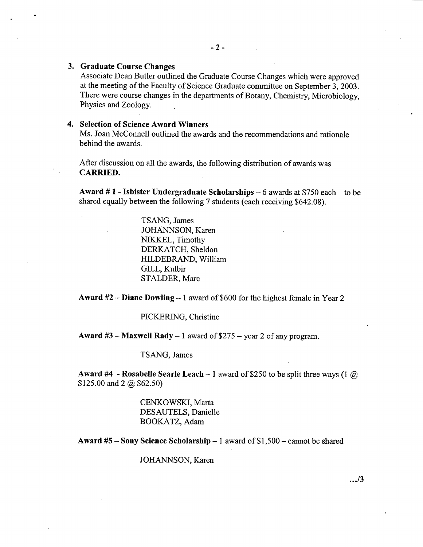#### **Graduate Course Changes**

Associate Dean Butler outlined the Graduate Course Changes which were approved at the meeting of the Faculty of Science Graduate committee on September 3, 2003. There were course changes in the departments of Botany, Chemistry, Microbiology, Physics and Zoology.

## **Selection of Science Award Winners**

Ms. Joan McConnell outlined the awards and the recommendations and rationale behind the awards.

After discussion on all the awards, the following distribution of awards was **CARRIED.** 

**Award # 1** - **Isbister Undergraduate Scholarships -** 6 awards at *\$750* each - to be shared equally between the following 7 students (each receiving \$642.08).

> TSANG, James JOHANNSON, Karen NIKKEL, Timothy DERKATCH, Sheldon HILDEBRAND, William GILL, Kulbir STALDER, Marc

**Award** #2 - **Diane Dowling -** 1 award of \$600 for the highest female in Year 2

PICKERiNG, Christine

**Award #3** - **Maxwell Rady -** 1 award of *\$275* - year 2 of any program.

TSANG, James

**Award #4 - Rosabelle Searle Leach**  $-1$  award of \$250 to be split three ways (1  $\omega$ ) \$125.00 and 2 @ *\$62.50)* 

> CENKOWSKT, Marta DESAUTELS, Danielle BOOKATZ, Adam

**Award #5** - **Sony Science Scholarship -** 1 award of *\$1,500—* cannot be shared

JOHANNSON, Karen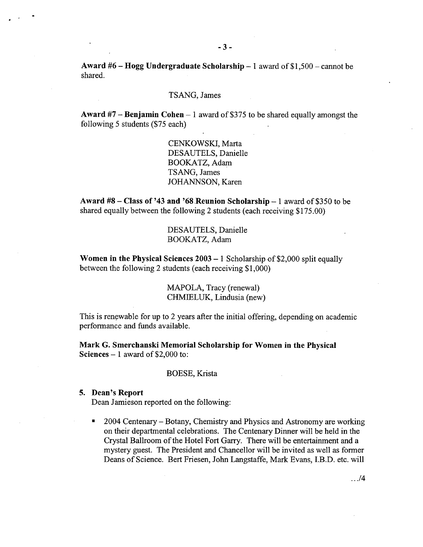Award **#6** - **Hogg Undergraduate Scholarship -** 1 award of \$1,500— cannot be shared.

#### TSANG, James

**Award** #7 - **Benjamin Cohen -** 1 award of \$375 to be shared equally amongst the following *5* students *(\$75* each)

> CENKOWSKI, Marta DESAUTELS, Danielle BOOKATZ, Adam TSANG, James JOHANNSON, Karen

Award  $#8 - Class$  of '43 and '68 Reunion Scholarship  $-1$  award of \$350 to be shared equally between the following 2 students (each receiving \$175.00)

> DESAUTELS, Danielle BOOKATZ, Adam

**Women in the Physical Sciences 2003 -** 1 Scholarship of \$2,000 split equally between the following 2 students (each receiving \$1,000)

> MAPOLA, Tracy (renewal) CHMIELUK, Lindusia (new)

This is renewable for up to 2 years after the initial offering, depending on academic performance and funds available.

**Mark G. Smerchanski Memorial Scholarship for Women in the Physical Sciences**  $-1$  award of \$2,000 to:

#### BOESE, Krista

#### *5.* **Dean's Report**

Dean Jamieson reported on the following:

2004 Centenary - Botany, Chemistry and Physics and Astronomy are working on their departmental celebrations. The Centenary Dinner will be held in the Crystal Ballroom of the Hotel Fort Garry. There will be entertainment and a mystery guest. The President and Chancellor will be invited as well as former Deans of Science. Bert Friesen, John Langstaffe, Mark Evans, I.B.D. etc. will

*.14*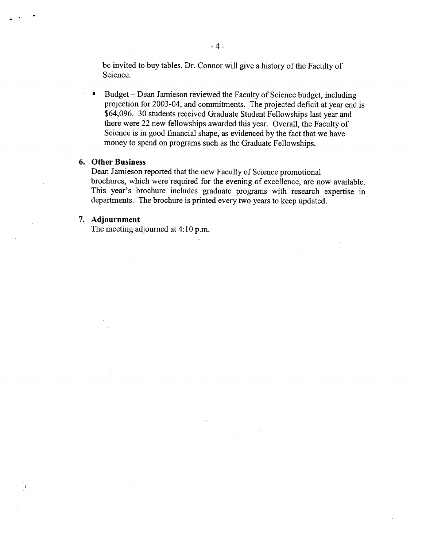be invited to buy tables. Dr. Connor will give a history of the Faculty of Science.

Budget - Dean Jamieson reviewed the Faculty of Science budget, including  $\blacksquare$ projection for 2003-04, and commitments. The projected deficit at year end is \$64,096. 30 students received Graduate Student Fellowships last year and there were 22 new fellowships awarded this year. Overall, the Faculty of Science is in good financial shape, as evidenced by the fact that we have money to spend on programs such as the Graduate Fellowships.

#### **Other Business**

Dean Jamieson reported that the new Faculty of Science promotional brochures, which were required for the evening of excellence, are now available. This year's brochure includes graduate programs with research expertise in departments. The brochure is printed every two years to keep updated.

## **Adjournment**

The meeting adjourned at 4:10 p.m.